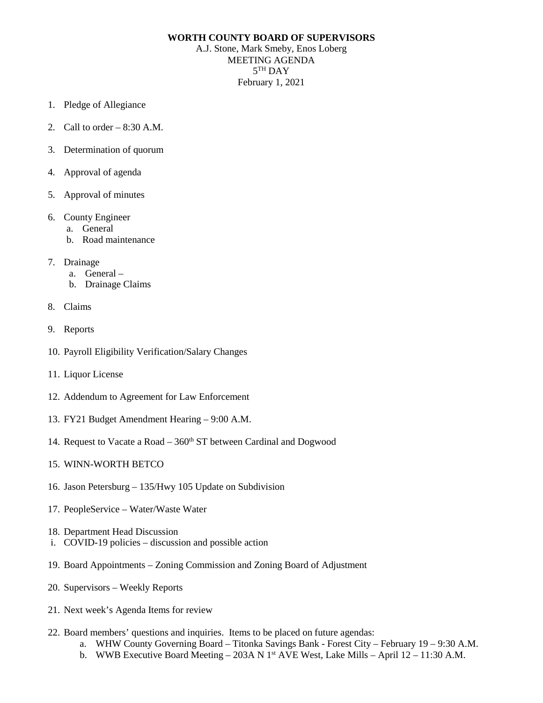## **WORTH COUNTY BOARD OF SUPERVISORS**

A.J. Stone, Mark Smeby, Enos Loberg MEETING AGENDA 5TH DAY February 1, 2021

- 1. Pledge of Allegiance
- 2. Call to order  $-8:30$  A.M.
- 3. Determination of quorum
- 4. Approval of agenda
- 5. Approval of minutes
- 6. County Engineer
	- a. General
	- b. Road maintenance
- 7. Drainage
	- a. General –
	- b. Drainage Claims
- 8. Claims
- 9. Reports
- 10. Payroll Eligibility Verification/Salary Changes
- 11. Liquor License
- 12. Addendum to Agreement for Law Enforcement
- 13. FY21 Budget Amendment Hearing 9:00 A.M.
- 14. Request to Vacate a Road  $-360<sup>th</sup>$  ST between Cardinal and Dogwood

## 15. WINN-WORTH BETCO

- 16. Jason Petersburg 135/Hwy 105 Update on Subdivision
- 17. PeopleService Water/Waste Water
- 18. Department Head Discussion
- i. COVID-19 policies discussion and possible action
- 19. Board Appointments Zoning Commission and Zoning Board of Adjustment
- 20. Supervisors Weekly Reports
- 21. Next week's Agenda Items for review
- 22. Board members' questions and inquiries. Items to be placed on future agendas:
	- a. WHW County Governing Board Titonka Savings Bank Forest City February 19 9:30 A.M.
	- b. WWB Executive Board Meeting 203A N  $1<sup>st</sup>$  AVE West, Lake Mills April 12 11:30 A.M.